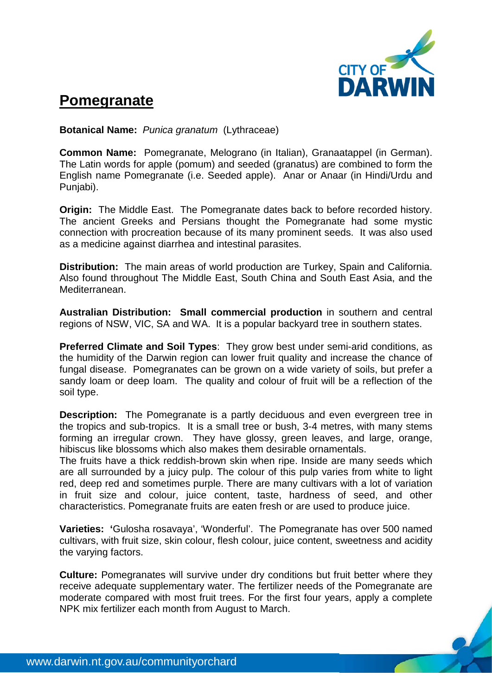

## **Pomegranate**

**Botanical Name:** *Punica granatum* (Lythraceae)

**Common Name:** Pomegranate, Melograno (in Italian), Granaatappel (in German). The Latin words for apple (pomum) and seeded (granatus) are combined to form the English name Pomegranate (i.e. Seeded apple). Anar or Anaar (in Hindi/Urdu and Punjabi).

**Origin:** The Middle East. The Pomegranate dates back to before recorded history. The ancient Greeks and Persians thought the Pomegranate had some mystic connection with procreation because of its many prominent seeds. It was also used as a medicine against diarrhea and intestinal parasites.

**Distribution:** The main areas of world production are Turkey, Spain and California. Also found throughout The Middle East, South China and South East Asia, and the Mediterranean.

**Australian Distribution: Small commercial production** in southern and central regions of NSW, VIC, SA and WA. It is a popular backyard tree in southern states.

**Preferred Climate and Soil Types**: They grow best under semi-arid conditions, as the humidity of the Darwin region can lower fruit quality and increase the chance of fungal disease. Pomegranates can be grown on a wide variety of soils, but prefer a sandy loam or deep loam. The quality and colour of fruit will be a reflection of the soil type.

**Description:** The Pomegranate is a partly deciduous and even evergreen tree in the tropics and sub-tropics. It is a small tree or bush, 3-4 metres, with many stems forming an irregular crown. They have glossy, green leaves, and large, orange, hibiscus like blossoms which also makes them desirable ornamentals.

The fruits have a thick reddish-brown skin when ripe. Inside are many seeds which are all surrounded by a juicy pulp. The colour of this pulp varies from white to light red, deep red and sometimes purple. There are many cultivars with a lot of variation in fruit size and colour, juice content, taste, hardness of seed, and other characteristics. Pomegranate fruits are eaten fresh or are used to produce juice.

**Varieties: '**Gulosha rosavaya', 'Wonderful'. The Pomegranate has over 500 named cultivars, with fruit size, skin colour, flesh colour, juice content, sweetness and acidity the varying factors.

**Culture:** Pomegranates will survive under dry conditions but fruit better where they receive adequate supplementary water. The fertilizer needs of the Pomegranate are moderate compared with most fruit trees. For the first four years, apply a complete NPK mix fertilizer each month from August to March.